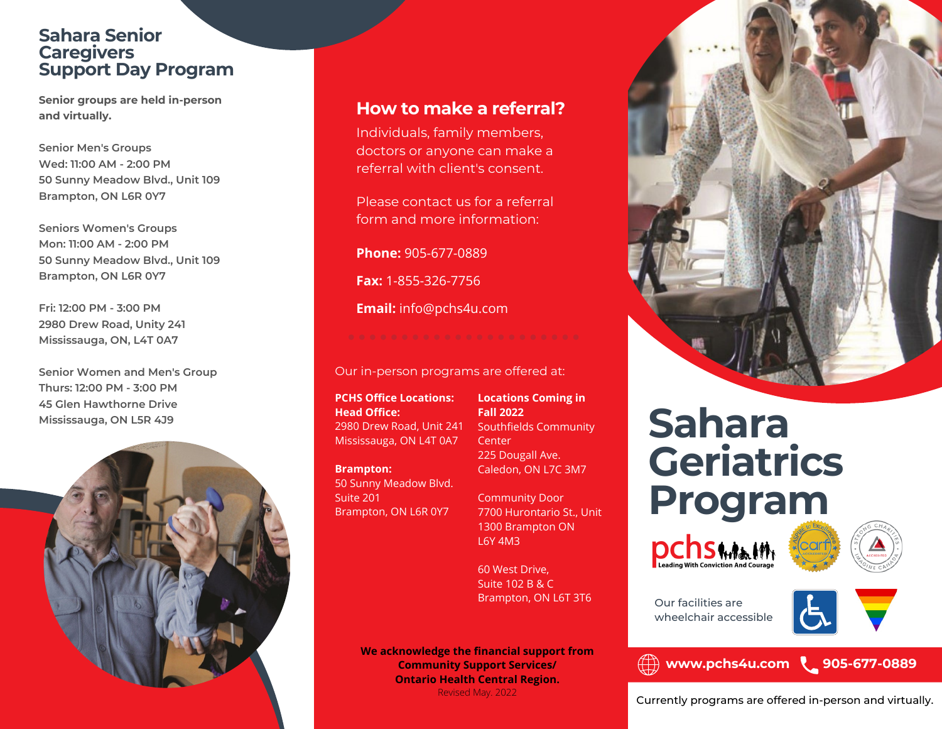#### **Sahara Senior Caregivers Support Day Program**

**Senior groups are held in-person and virtually.**

**Senior Men's Groups Wed: 11:00 AM - 2:00 PM 50 Sunny Meadow Blvd., Unit 109 Brampton, ON L6R 0Y7**

**Seniors Women's Groups Mon: 11:00 AM - 2:00 PM 50 Sunny Meadow Blvd., Unit 109 Brampton, ON L6R 0Y7**

**Fri: 12:00 PM - 3:00 PM 2980 Drew Road, Unity 241 Mississauga, ON, L4T 0A7**

**Senior Women and Men's Group Thurs: 12:00 PM - 3:00 PM 45 Glen Hawthorne Drive Mississauga, ON L5R 4J9**



#### **How to make a referral?**

Individuals, family members, doctors or anyone can make a referral with client's consent.

Please contact us for a referral form and more information:

**Phone:** 905-677-0889

**Fax:** 1-855-326-7756

**Email:** info@pchs4u.com

#### Our in-person programs are offered at:

**PCHS Office Locations: Head Office:** 2980 Drew Road, Unit 241 Mississauga, ON L4T 0A7

**Brampton:**

50 Sunny Meadow Blvd. Suite 201 Brampton, ON L6R 0Y7

**Locations Coming in Fall 2022** Southfields Community **Center** 225 Dougall Ave. Caledon, ON L7C 3M7

Community Door 7700 Hurontario St., Unit 1300 Brampton ON L6Y 4M3

60 West Drive, Suite 102 B & C Brampton, ON L6T 3T6 Our facilities are

**We acknowledge the financial support from Community Support Services/ Ontario Health Central Region.** Revised May. 2022



# **Sahara Geriatrics Program**





wheelchair accessible

#### **www.pchs4u.com 905-677-0889**



Currently programs are offered in-person and virtually.